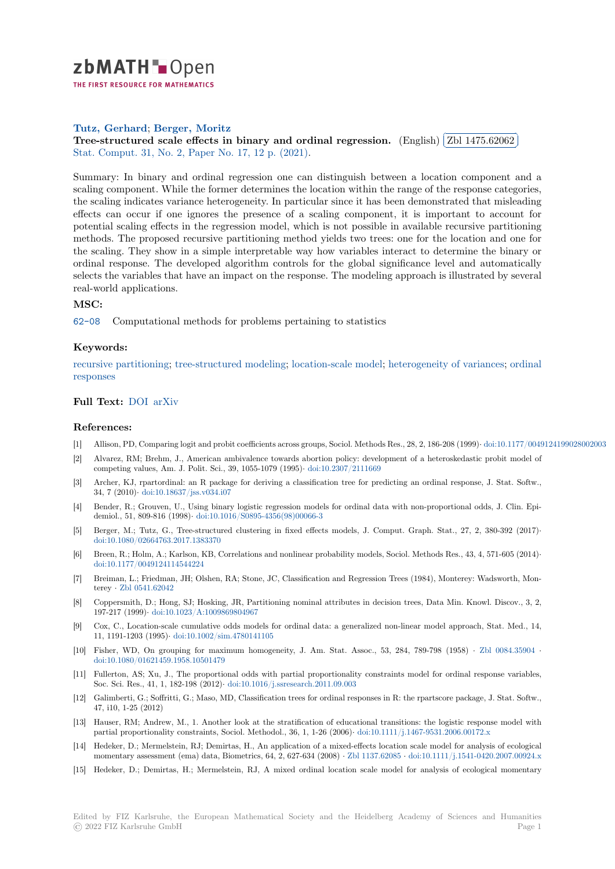

THE FIRST RESOURCE FOR MATHEMATICS

### **Tutz, Gerhard**; **Berger, Moritz**

[T](https://zbmath.org/)utz, Gernard; Derger, Moritz<br>Tree-structured scale effects in binary and ordinal regression. (English) ✂ Zbl 1475.62062 ĺ. Ļ, Stat. Comput. 31, No. 2, Paper No. 17, 12 p. (2021).

[Summary: In bin](https://zbmath.org/authors/?q=ai:tutz.gerhard-e)[ary and ordinal r](https://zbmath.org/authors/?q=ai:berger.moritz)egression one can distinguish between a location component and a [scaling component. While the former determines the location within the](https://zbmath.org/1475.62062) range oft[he response catego](https://zbmath.org/1475.62062)ries, [the scaling ind](https://zbmath.org/journals/?q=se:7318)i[cates variance heterogeneity. In partic](https://zbmath.org/?q=in:463982)ular since it has been demonstrated that misleading effects can occur if one ignores the presence of a scaling component, it is important to account for potential scaling effects in the regression model, which is not possible in available recursive partitioning methods. The proposed recursive partitioning method yields two trees: one for the location and one for the scaling. They show in a simple interpretable way how variables interact to determine the binary or ordinal response. The developed algorithm controls for the global significance level and automatically selects the variables that have an impact on the response. The modeling approach is illustrated by several real-world applications.

# **MSC:**

62-08 Computational methods for problems pertaining to statistics

### **Keywords:**

recursive partitioning; tree-structured modeling; location-scale model; heterogeneity of variances; ordinal [respon](https://zbmath.org/classification/?q=cc:62-08)ses

# **Full Text:** DOI arXiv

#### **[Referenc](https://zbmath.org/?q=ut:ordinal+responses)es:**

- [1] Allison, PD, Comparing logit and probit coefficients across groups, Sociol. Methods Res., 28, 2, 186-208 (1999)*·* doi:10.1177/0049124199028002003
- [2] Alvarez, [RM; B](https://dx.doi.org/10.1007/s11222-020-09992-0)[rehm, J](https://arxiv.org/abs/1910.13719)., American ambivalence towards abortion policy: development of a heteroskedastic probit model of competing values, Am. J. Polit. Sci., 39, 1055-1079 (1995)*·* doi:10.2307/2111669
- [3] Archer, KJ, rpartordinal: an R package for deriving a classification tree for predicting an ordinal response, J. Stat. Softw., 34, 7 (2010)*·* doi:10.18637/jss.v034.i07
- [4] Bender, R.; Grouven, U., Using binary logistic regression models for ordinal data with non-proportional odds, J. Clin. Epidemiol., 51, 809-816 (1998)*·* doi:10.1016/S0895-4356(98)00[066-3](https://dx.doi.org/10.2307/2111669)
- [5] Berger, M.; Tutz, G., Tree-structured clustering in fixed effects models, J. Comput. Graph. Stat., 27, 2, 380-392 (2017)*·* doi:10.1080/[02664763.2017.1383370](https://dx.doi.org/10.18637/jss.v034.i07)
- [6] Breen, R.; Holm, A.; Karlson, KB, Correlations and nonlinear probability models, Sociol. Methods Res., 43, 4, 571-605 (2014)*·* doi:10.1177/00491241145442[24](https://dx.doi.org/10.1016/S0895-4356(98)00066-3)
- [7] Breiman, L.; Friedman, JH; Olshen, RA; Stone, JC, Classification and Regression Trees (1984), Monterey: Wadsworth, Monterey *·* [Zbl 0541.62042](https://dx.doi.org/10.1080/02664763.2017.1383370)
- [8] Coppersmith, D.; Hong, SJ; Hosking, JR, Partitioning nominal attributes in decision trees, Data Min. Knowl. Discov., 3, 2, [197-217 \(1999\)](https://dx.doi.org/10.1177/0049124114544224)*·* doi:10.1023/A:1009869804967
- [9] Cox, C., Location-scale cumulative odds models for ordinal data: a generalized non-linear model approach, Stat. Med., 14, 11, 119[1-1203 \(1995\)](https://zbmath.org/0541.62042)*·* doi:10.1002/sim.4780141105
- [10] Fisher, WD, On grouping for maximum homogeneity, J. Am. Stat. Assoc., 53, 284, 789-798 (1958) *·* Zbl 0084.35904 *·* doi:10.1080/016[21459.1958.10501479](https://dx.doi.org/10.1023/A:1009869804967)
- [11] Fullerton, AS; Xu, J., The proportional odds with partial proportionality constraints model for ordinal response variables, Soc. Sci. Res., 41, 1, [182-198 \(2012\)](https://dx.doi.org/10.1002/sim.4780141105)*·* doi:10.1016/j.ssresearch.2011.09.003
- [12] Galimberti, G.; Soffritti, G.; Maso, MD, Classification trees for ordinal responses in R: the rpartscore packa[ge, J. Stat. Softw](https://zbmath.org/0084.35904)., [47, i10, 1-25 \(2012\)](https://dx.doi.org/10.1080/01621459.1958.10501479)
- [13] Hauser, RM; Andrew, M., 1. Another look at the stratification of educational transitions: the logistic response model with partial proportionality constraints, S[ociol. Methodol., 36, 1, 1-26 \(2006\)](https://dx.doi.org/10.1016/j.ssresearch.2011.09.003)*·* doi:10.1111/j.1467-9531.2006.00172.x
- [14] Hedeker, D.; Mermelstein, RJ; Demirtas, H., An application of a mixed-effects location scale model for analysis of ecological momentary assessment (ema) data, Biometrics, 64, 2, 627-634 (2008) *·* Zbl 1137.62085 *·* doi:10.1111/j.1541-0420.2007.00924.x
- [15] Hedeker, D.; Demirtas, H.; Mermelstein, RJ, A mixed ordinal location scale model for analysis of ecological momentary